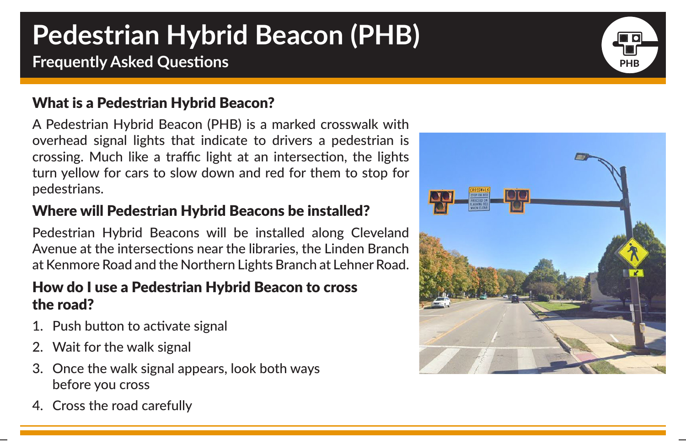# **Pedestrian Hybrid Beacon (PHB)**

## **Frequently Asked Questions PHB PHB PHB PHB**

### What is a Pedestrian Hybrid Beacon?

A Pedestrian Hybrid Beacon (PHB) is a marked crosswalk with overhead signal lights that indicate to drivers a pedestrian is crossing. Much like a traffic light at an intersection, the lights turn yellow for cars to slow down and red for them to stop for pedestrians.

### Where will Pedestrian Hybrid Beacons be installed?

Pedestrian Hybrid Beacons will be installed along Cleveland Avenue at the intersections near the libraries, the Linden Branch at Kenmore Road and the Northern Lights Branch at Lehner Road.

#### How do I use a Pedestrian Hybrid Beacon to cross the road?

- 1. Push button to activate signal
- 2. Wait for the walk signal
- 3. Once the walk signal appears, look both ways before you cross
- 4. Cross the road carefully